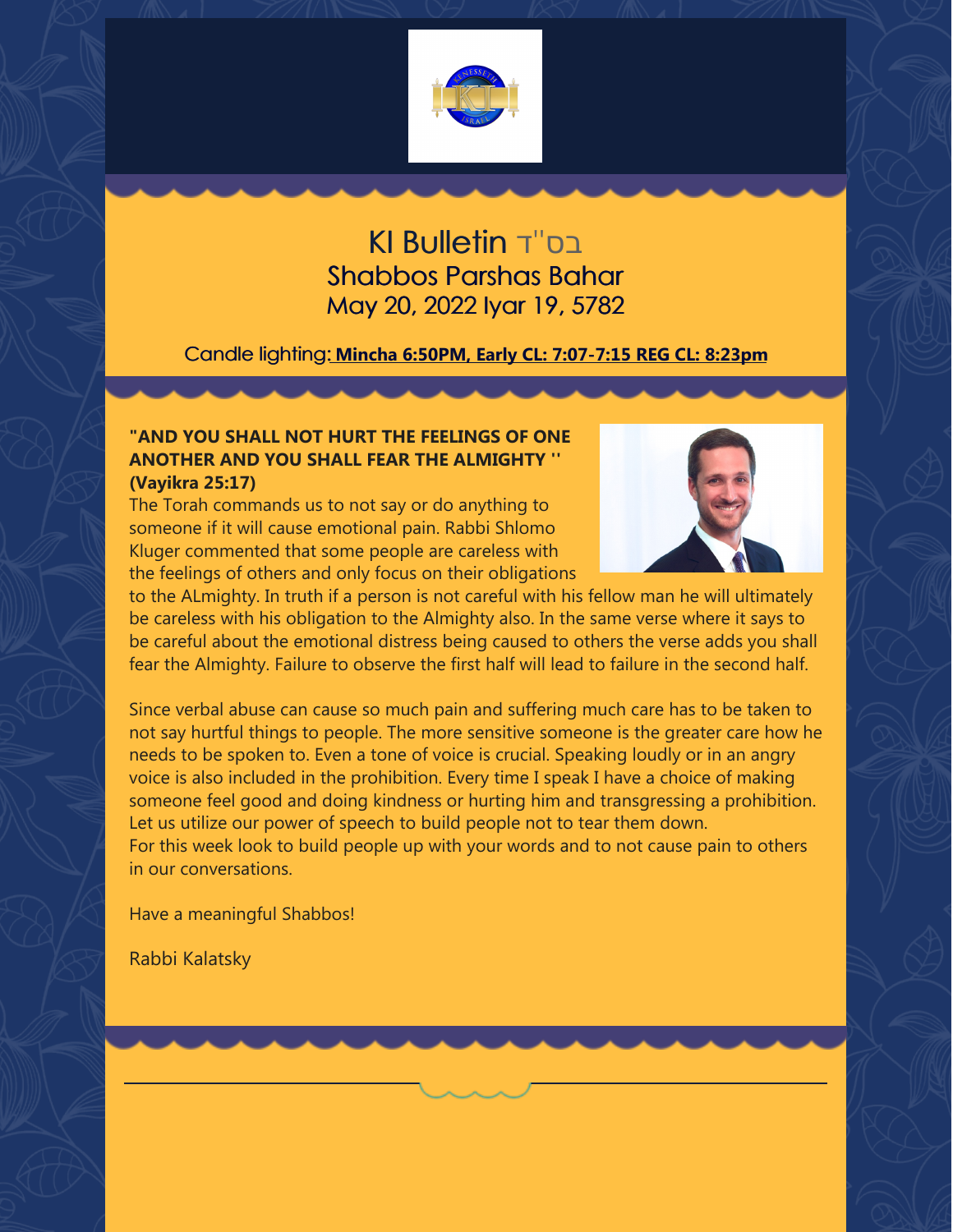

### בס''ד Bulletin KI Shabbos Parshas Bahar May 20, 2022 Iyar 19, 5782

#### Candle lighting: **Mincha 6:50PM, Early CL: 7:07-7:15 REG CL: 8:23pm**

#### **"AND YOU SHALL NOT HURT THE FEELINGS OF ONE ANOTHER AND YOU SHALL FEAR THE ALMIGHTY '' (Vayikra 25:17)**

The Torah commands us to not say or do anything to someone if it will cause emotional pain. Rabbi Shlomo Kluger commented that some people are careless with the feelings of others and only focus on their obligations



to the ALmighty. In truth if a person is not careful with his fellow man he will ultimately be careless with his obligation to the Almighty also. In the same verse where it says to be careful about the emotional distress being caused to others the verse adds you shall fear the Almighty. Failure to observe the first half will lead to failure in the second half.

Since verbal abuse can cause so much pain and suffering much care has to be taken to not say hurtful things to people. The more sensitive someone is the greater care how he needs to be spoken to. Even a tone of voice is crucial. Speaking loudly or in an angry voice is also included in the prohibition. Every time I speak I have a choice of making someone feel good and doing kindness or hurting him and transgressing a prohibition. Let us utilize our power of speech to build people not to tear them down. For this week look to build people up with your words and to not cause pain to others in our conversations.

Have a meaningful Shabbos!

Rabbi Kalatsky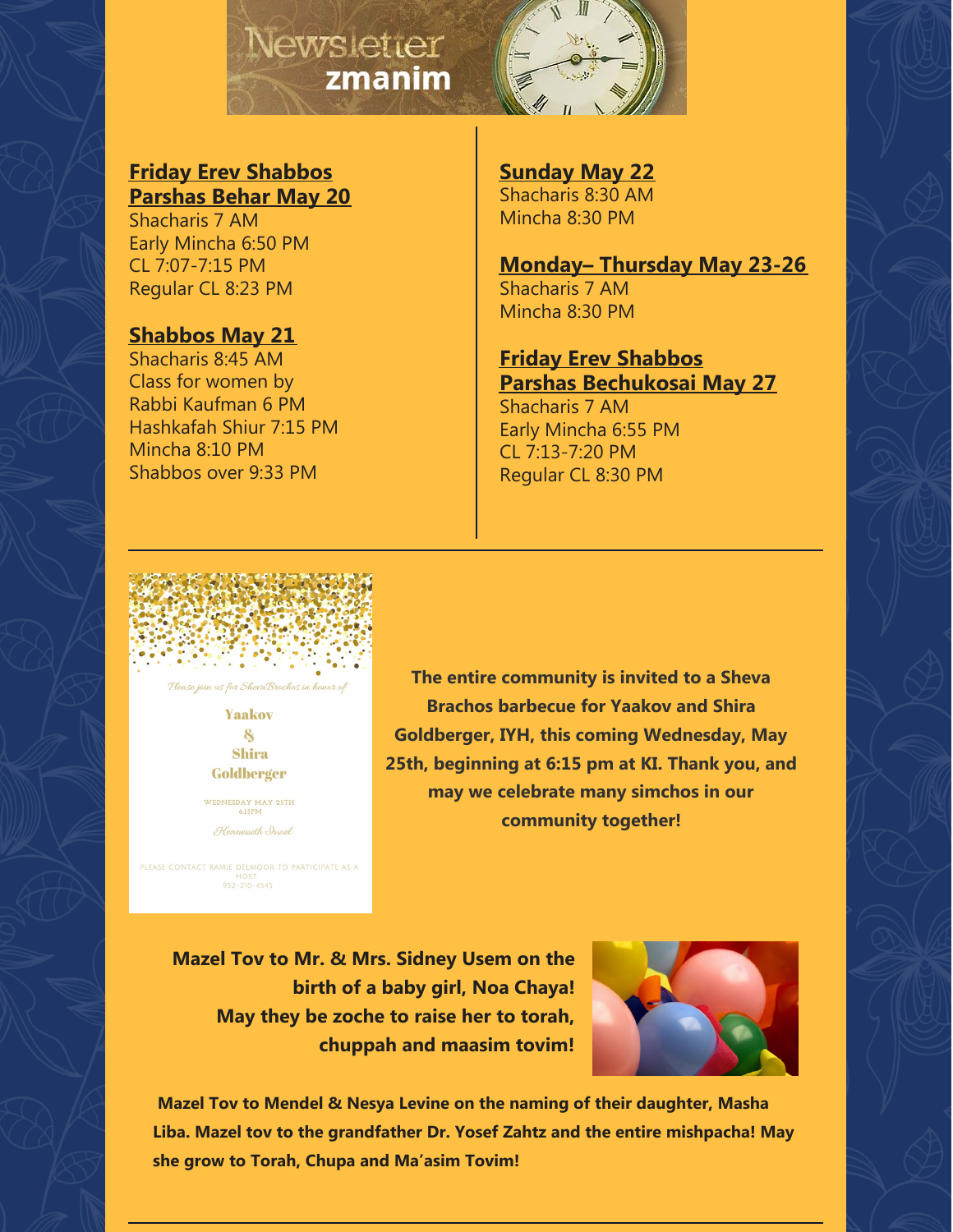## Newsletter zmanim



#### **Friday Erev Shabbos Parshas Behar May 20**

Shacharis 7 AM Early Mincha 6:50 PM CL 7:07-7:15 PM Regular CL 8:23 PM

#### **Shabbos May 21**

Shacharis 8:45 AM Class for women by Rabbi Kaufman 6 PM Hashkafah Shiur 7:15 PM Mincha 8:10 PM Shabbos over 9:33 PM

**Sunday May 22** Shacharis 8:30 AM Mincha 8:30 PM

**Monday– Thursday May 23-26** Shacharis 7 AM Mincha 8:30 PM

**Friday Erev Shabbos Parshas Bechukosai May 27** Shacharis 7 AM Early Mincha 6:55 PM CL 7:13-7:20 PM Regular CL 8:30 PM



**Yaakov** 8

**Shira** Goldberger

WEDNESDAY MAY 25TH

Hennesseth Israel

PLEASE CONTACT RAMIE DELMOOR TO PARTICIPATE AS A  $952 - 210 - 4545$ 

**The entire community is invited to a Sheva Brachos barbecue for Yaakov and Shira Goldberger, IYH, this coming Wednesday, May 25th, beginning at 6:15 pm at KI. Thank you, and may we celebrate many simchos in our community together!**

**Mazel Tov to Mr. & Mrs. Sidney Usem on the birth of a baby girl, Noa Chaya! May they be zoche to raise her to torah, chuppah and maasim tovim!**



**Mazel Tov to Mendel & Nesya Levine on the naming of their daughter, Masha Liba. Mazel tov to the grandfather Dr. Yosef Zahtz and the entire mishpacha! May she grow to Torah, Chupa and Ma'asim Tovim!**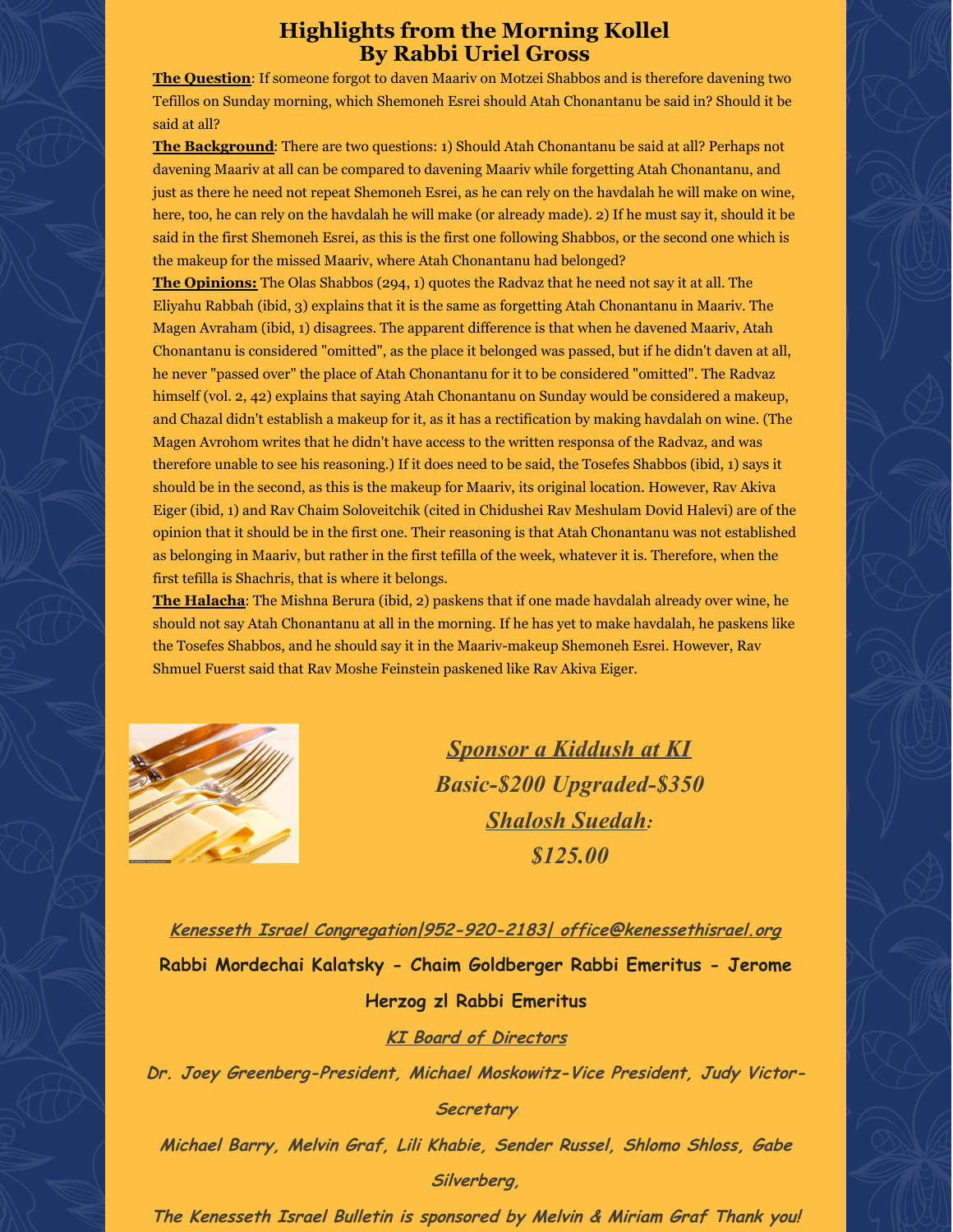#### **Highlights from the Morning Kollel By Rabbi Uriel Gross**

**The Question**: If someone forgot to daven Maariv on Motzei Shabbos and is therefore davening two Tefillos on Sunday morning, which Shemoneh Esrei should Atah Chonantanu be said in? Should it be said at all?

**The Background**: There are two questions: 1) Should Atah Chonantanu be said at all? Perhaps not davening Maariv at all can be compared to davening Maariv while forgetting Atah Chonantanu, and just as there he need not repeat Shemoneh Esrei, as he can rely on the havdalah he will make on wine, here, too, he can rely on the havdalah he will make (or already made). 2) If he must say it, should it be said in the first Shemoneh Esrei, as this is the first one following Shabbos, or the second one which is the makeup for the missed Maariv, where Atah Chonantanu had belonged?

**The Opinions:** The Olas Shabbos (294, 1) quotes the Radvaz that he need not say it at all. The Eliyahu Rabbah (ibid, 3) explains that it is the same as forgetting Atah Chonantanu in Maariv. The Magen Avraham (ibid, 1) disagrees. The apparent difference is that when he davened Maariv, Atah Chonantanu is considered "omitted", as the place it belonged was passed, but if he didn't daven at all, he never "passed over" the place of Atah Chonantanu for it to be considered "omitted". The Radvaz himself (vol. 2, 42) explains that saying Atah Chonantanu on Sunday would be considered a makeup, and Chazal didn't establish a makeup for it, as it has a rectification by making havdalah on wine. (The Magen Avrohom writes that he didn't have access to the written responsa of the Radvaz, and was therefore unable to see his reasoning.) If it does need to be said, the Tosefes Shabbos (ibid, 1) says it should be in the second, as this is the makeup for Maariv, its original location. However, Rav Akiva Eiger (ibid, 1) and Rav Chaim Soloveitchik (cited in Chidushei Rav Meshulam Dovid Halevi) are of the opinion that it should be in the first one. Their reasoning is that Atah Chonantanu was not established as belonging in Maariv, but rather in the first tefilla of the week, whatever it is. Therefore, when the first tefilla is Shachris, that is where it belongs.

**The Halacha**: The Mishna Berura (ibid, 2) paskens that if one made havdalah already over wine, he should not say Atah Chonantanu at all in the morning. If he has yet to make havdalah, he paskens like the Tosefes Shabbos, and he should say it in the Maariv-makeup Shemoneh Esrei. However, Rav Shmuel Fuerst said that Rav Moshe Feinstein paskened like Rav Akiva Eiger.



*Sponsor a Kiddush at KI Basic-\$200 Upgraded-\$350 Shalosh Suedah: \$125.00*

**Kenesseth Israel Congregation|952-920-2183| office@kenessethisrael.org Rabbi Mordechai Kalatsky - Chaim Goldberger Rabbi Emeritus - Jerome Herzog zl Rabbi Emeritus KI Board of Directors Dr. Joey Greenberg-President, Michael Moskowitz-Vice President, Judy Victor-Secretary Michael Barry, Melvin Graf, Lili Khabie, Sender Russel, Shlomo Shloss, Gabe Silverberg,**

**The Kenesseth Israel Bulletin is sponsored by Melvin & Miriam Graf Thank you!**